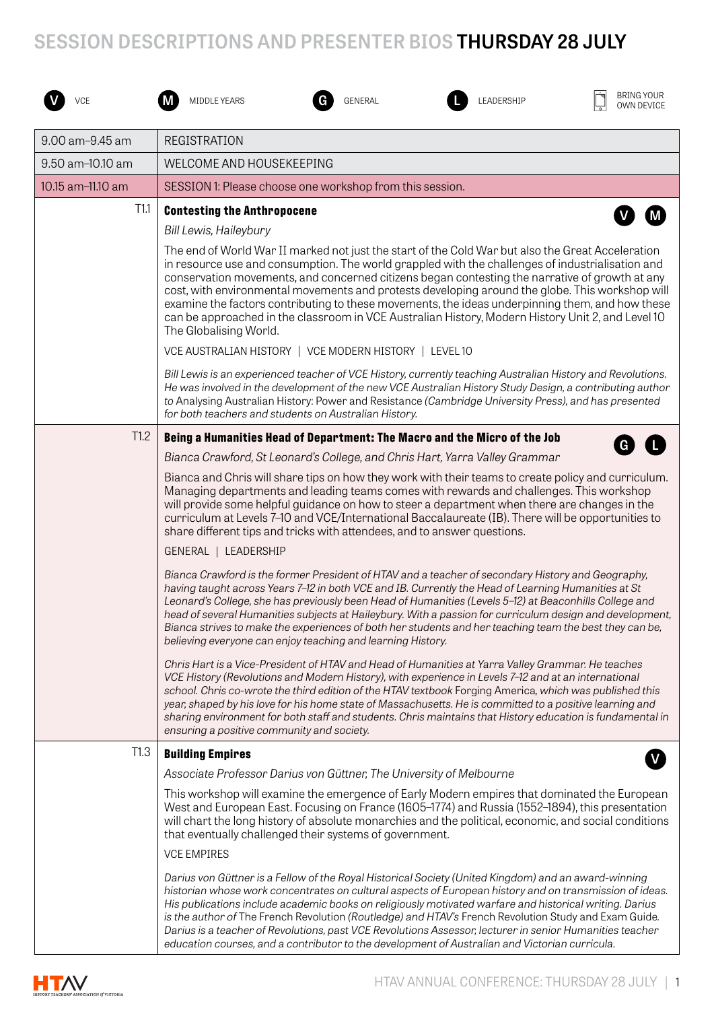## **SESSION DESCRIPTIONS AND PRESENTER BIOS THURSDAY 28 JULY**







*Darius von Güttner is a Fellow of the Royal Historical Society (United Kingdom) and an award-winning historian whose work concentrates on cultural aspects of European history and on transmission of ideas. His publications include academic books on religiously motivated warfare and historical writing. Darius is the author of* The French Revolution *(Routledge) and HTAV's* French Revolution Study and Exam Guide*. Darius is a teacher of Revolutions, past VCE Revolutions Assessor, lecturer in senior Humanities teacher education courses, and a contributor to the development of Australian and Victorian curricula.*

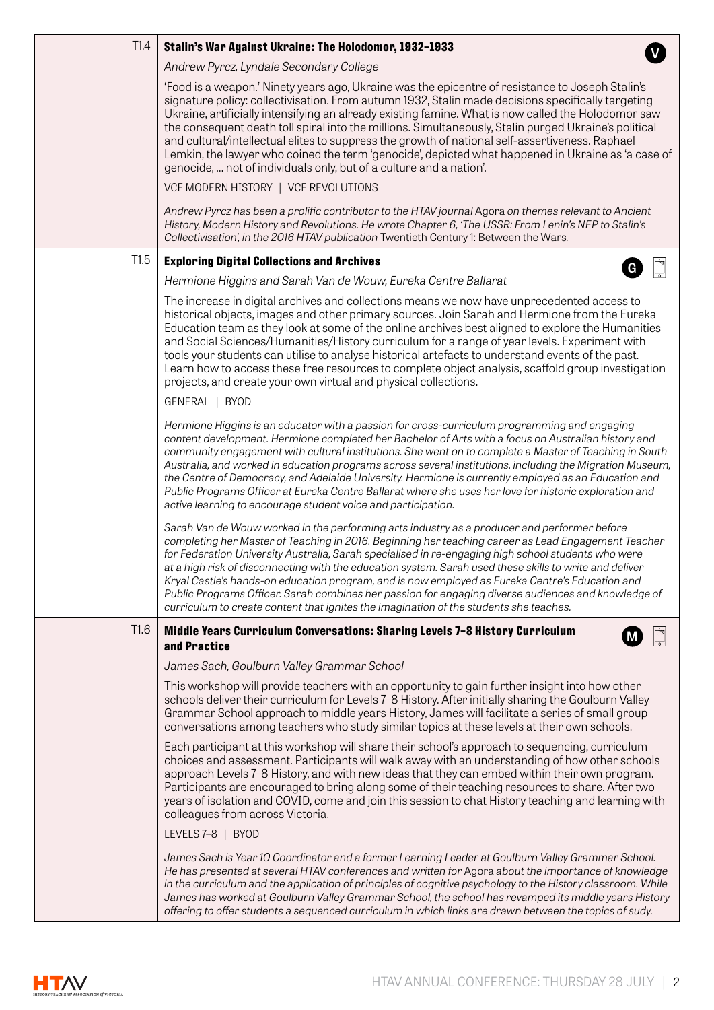| T1.4 | Stalin's War Against Ukraine: The Holodomor, 1932-1933                                                                                                                                                                                                                                                                                                                                                                                                                                                                                                                                                                                                                                                                   |
|------|--------------------------------------------------------------------------------------------------------------------------------------------------------------------------------------------------------------------------------------------------------------------------------------------------------------------------------------------------------------------------------------------------------------------------------------------------------------------------------------------------------------------------------------------------------------------------------------------------------------------------------------------------------------------------------------------------------------------------|
|      | Andrew Pyrcz, Lyndale Secondary College                                                                                                                                                                                                                                                                                                                                                                                                                                                                                                                                                                                                                                                                                  |
|      | 'Food is a weapon.' Ninety years ago, Ukraine was the epicentre of resistance to Joseph Stalin's<br>signature policy: collectivisation. From autumn 1932, Stalin made decisions specifically targeting<br>Ukraine, artificially intensifying an already existing famine. What is now called the Holodomor saw<br>the consequent death toll spiral into the millions. Simultaneously, Stalin purged Ukraine's political<br>and cultural/intellectual elites to suppress the growth of national self-assertiveness. Raphael<br>Lemkin, the lawyer who coined the term 'genocide', depicted what happened in Ukraine as 'a case of<br>genocide,  not of individuals only, but of a culture and a nation'.                   |
|      | VCE MODERN HISTORY   VCE REVOLUTIONS                                                                                                                                                                                                                                                                                                                                                                                                                                                                                                                                                                                                                                                                                     |
|      | Andrew Pyrcz has been a prolific contributor to the HTAV journal Agora on themes relevant to Ancient<br>History, Modern History and Revolutions. He wrote Chapter 6, 'The USSR: From Lenin's NEP to Stalin's<br>Collectivisation', in the 2016 HTAV publication Twentieth Century 1: Between the Wars.                                                                                                                                                                                                                                                                                                                                                                                                                   |
| T1.5 | <b>Exploring Digital Collections and Archives</b>                                                                                                                                                                                                                                                                                                                                                                                                                                                                                                                                                                                                                                                                        |
|      | Hermione Higgins and Sarah Van de Wouw, Eureka Centre Ballarat                                                                                                                                                                                                                                                                                                                                                                                                                                                                                                                                                                                                                                                           |
|      | The increase in digital archives and collections means we now have unprecedented access to<br>historical objects, images and other primary sources. Join Sarah and Hermione from the Eureka<br>Education team as they look at some of the online archives best aligned to explore the Humanities<br>and Social Sciences/Humanities/History curriculum for a range of year levels. Experiment with<br>tools your students can utilise to analyse historical artefacts to understand events of the past.<br>Learn how to access these free resources to complete object analysis, scaffold group investigation<br>projects, and create your own virtual and physical collections.                                          |
|      | GENERAL   BYOD                                                                                                                                                                                                                                                                                                                                                                                                                                                                                                                                                                                                                                                                                                           |
|      | Hermione Higgins is an educator with a passion for cross-curriculum programming and engaging<br>content development. Hermione completed her Bachelor of Arts with a focus on Australian history and<br>community engagement with cultural institutions. She went on to complete a Master of Teaching in South<br>Australia, and worked in education programs across several institutions, including the Migration Museum,<br>the Centre of Democracy, and Adelaide University. Hermione is currently employed as an Education and<br>Public Programs Officer at Eureka Centre Ballarat where she uses her love for historic exploration and<br>active learning to encourage student voice and participation.             |
|      | Sarah Van de Wouw worked in the performing arts industry as a producer and performer before<br>completing her Master of Teaching in 2016. Beginning her teaching career as Lead Engagement Teacher<br>for Federation University Australia, Sarah specialised in re-engaging high school students who were<br>at a high risk of disconnecting with the education system. Sarah used these skills to write and deliver<br>Kryal Castle's hands-on education program, and is now employed as Eureka Centre's Education and<br>Public Programs Officer. Sarah combines her passion for engaging diverse audiences and knowledge of<br>curriculum to create content that ignites the imagination of the students she teaches. |
| T1.6 | Middle Years Curriculum Conversations: Sharing Levels 7-8 History Curriculum                                                                                                                                                                                                                                                                                                                                                                                                                                                                                                                                                                                                                                             |
|      | and Practice                                                                                                                                                                                                                                                                                                                                                                                                                                                                                                                                                                                                                                                                                                             |
|      | James Sach, Goulburn Valley Grammar School                                                                                                                                                                                                                                                                                                                                                                                                                                                                                                                                                                                                                                                                               |
|      | This workshop will provide teachers with an opportunity to gain further insight into how other<br>schools deliver their curriculum for Levels 7-8 History. After initially sharing the Goulburn Valley<br>Grammar School approach to middle years History, James will facilitate a series of small group<br>conversations among teachers who study similar topics at these levels at their own schools.                                                                                                                                                                                                                                                                                                                  |
|      | Each participant at this workshop will share their school's approach to sequencing, curriculum<br>choices and assessment. Participants will walk away with an understanding of how other schools<br>approach Levels 7-8 History, and with new ideas that they can embed within their own program.<br>Participants are encouraged to bring along some of their teaching resources to share. After two<br>years of isolation and COVID, come and join this session to chat History teaching and learning with<br>colleagues from across Victoria.                                                                                                                                                                          |
|      | LEVELS 7-8   BYOD                                                                                                                                                                                                                                                                                                                                                                                                                                                                                                                                                                                                                                                                                                        |
|      | James Sach is Year 10 Coordinator and a former Learning Leader at Goulburn Valley Grammar School.<br>He has presented at several HTAV conferences and written for Agora about the importance of knowledge<br>in the curriculum and the application of principles of cognitive psychology to the History classroom. While<br>James has worked at Goulburn Valley Grammar School, the school has revamped its middle years History<br>offering to offer students a sequenced curriculum in which links are drawn between the topics of sudy.                                                                                                                                                                               |

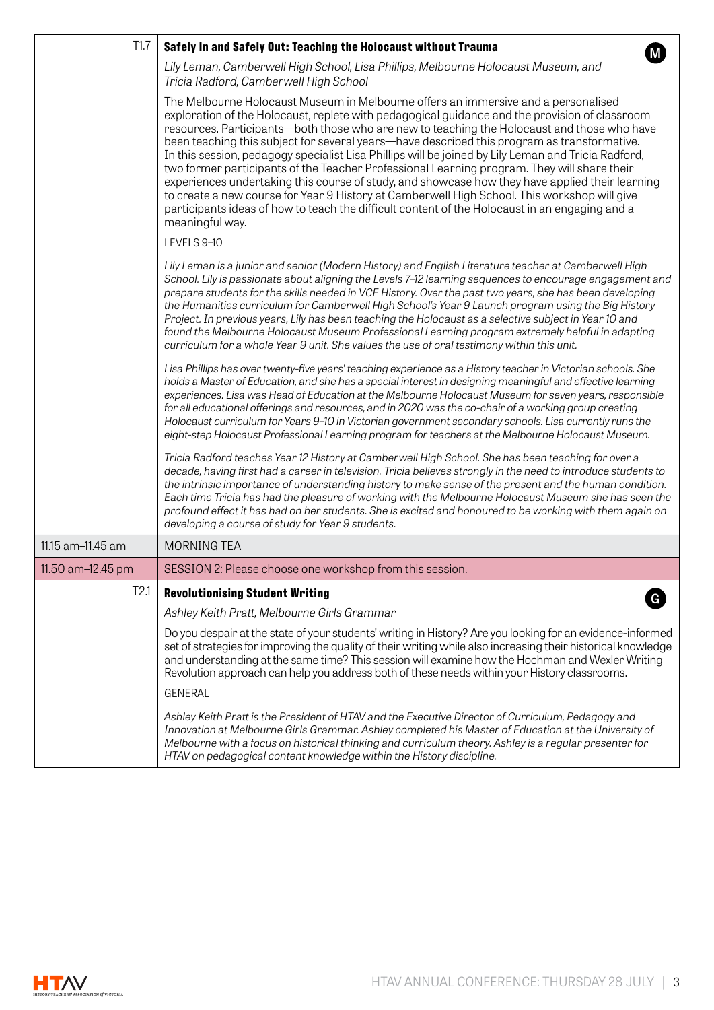| T1.7              | Safely In and Safely Out: Teaching the Holocaust without Trauma                                                                                                                                                                                                                                                                                                                                                                                                                                                                                                                                                                                                                                                                                                                                                                                                                                                  |
|-------------------|------------------------------------------------------------------------------------------------------------------------------------------------------------------------------------------------------------------------------------------------------------------------------------------------------------------------------------------------------------------------------------------------------------------------------------------------------------------------------------------------------------------------------------------------------------------------------------------------------------------------------------------------------------------------------------------------------------------------------------------------------------------------------------------------------------------------------------------------------------------------------------------------------------------|
|                   | Lily Leman, Camberwell High School, Lisa Phillips, Melbourne Holocaust Museum, and<br>Tricia Radford, Camberwell High School                                                                                                                                                                                                                                                                                                                                                                                                                                                                                                                                                                                                                                                                                                                                                                                     |
|                   | The Melbourne Holocaust Museum in Melbourne offers an immersive and a personalised<br>exploration of the Holocaust, replete with pedagogical guidance and the provision of classroom<br>resources. Participants—both those who are new to teaching the Holocaust and those who have<br>been teaching this subject for several years—have described this program as transformative.<br>In this session, pedagogy specialist Lisa Phillips will be joined by Lily Leman and Tricia Radford,<br>two former participants of the Teacher Professional Learning program. They will share their<br>experiences undertaking this course of study, and showcase how they have applied their learning<br>to create a new course for Year 9 History at Camberwell High School. This workshop will give<br>participants ideas of how to teach the difficult content of the Holocaust in an engaging and a<br>meaningful way. |
|                   | LEVELS 9-10                                                                                                                                                                                                                                                                                                                                                                                                                                                                                                                                                                                                                                                                                                                                                                                                                                                                                                      |
|                   | Lily Leman is a junior and senior (Modern History) and English Literature teacher at Camberwell High<br>School. Lily is passionate about aligning the Levels 7-12 learning sequences to encourage engagement and<br>prepare students for the skills needed in VCE History. Over the past two years, she has been developing<br>the Humanities curriculum for Camberwell High School's Year 9 Launch program using the Big History<br>Project. In previous years, Lily has been teaching the Holocaust as a selective subject in Year 10 and<br>found the Melbourne Holocaust Museum Professional Learning program extremely helpful in adapting<br>curriculum for a whole Year 9 unit. She values the use of oral testimony within this unit.                                                                                                                                                                    |
|                   | Lisa Phillips has over twenty-five years' teaching experience as a History teacher in Victorian schools. She<br>holds a Master of Education, and she has a special interest in designing meaningful and effective learning<br>experiences. Lisa was Head of Education at the Melbourne Holocaust Museum for seven years, responsible<br>for all educational offerings and resources, and in 2020 was the co-chair of a working group creating<br>Holocaust curriculum for Years 9-10 in Victorian government secondary schools. Lisa currently runs the<br>eight-step Holocaust Professional Learning program for teachers at the Melbourne Holocaust Museum.                                                                                                                                                                                                                                                    |
|                   | Tricia Radford teaches Year 12 History at Camberwell High School. She has been teaching for over a<br>decade, having first had a career in television. Tricia believes strongly in the need to introduce students to<br>the intrinsic importance of understanding history to make sense of the present and the human condition.<br>Each time Tricia has had the pleasure of working with the Melbourne Holocaust Museum she has seen the<br>profound effect it has had on her students. She is excited and honoured to be working with them again on<br>developing a course of study for Year 9 students.                                                                                                                                                                                                                                                                                                        |
| 11.15 am-11.45 am | <b>MORNING TEA</b>                                                                                                                                                                                                                                                                                                                                                                                                                                                                                                                                                                                                                                                                                                                                                                                                                                                                                               |
| 11.50 am-12.45 pm | SESSION 2: Please choose one workshop from this session.                                                                                                                                                                                                                                                                                                                                                                                                                                                                                                                                                                                                                                                                                                                                                                                                                                                         |
| T2.1              | <b>Revolutionising Student Writing</b>                                                                                                                                                                                                                                                                                                                                                                                                                                                                                                                                                                                                                                                                                                                                                                                                                                                                           |
|                   | Ashley Keith Pratt, Melbourne Girls Grammar                                                                                                                                                                                                                                                                                                                                                                                                                                                                                                                                                                                                                                                                                                                                                                                                                                                                      |
|                   | Do you despair at the state of your students' writing in History? Are you looking for an evidence-informed<br>set of strategies for improving the quality of their writing while also increasing their historical knowledge<br>and understanding at the same time? This session will examine how the Hochman and Wexler Writing<br>Revolution approach can help you address both of these needs within your History classrooms.                                                                                                                                                                                                                                                                                                                                                                                                                                                                                  |
|                   | <b>GENERAL</b>                                                                                                                                                                                                                                                                                                                                                                                                                                                                                                                                                                                                                                                                                                                                                                                                                                                                                                   |
|                   | Ashley Keith Pratt is the President of HTAV and the Executive Director of Curriculum, Pedagogy and<br>Innovation at Melbourne Girls Grammar. Ashley completed his Master of Education at the University of<br>Melbourne with a focus on historical thinking and curriculum theory. Ashley is a regular presenter for<br>HTAV on pedagogical content knowledge within the History discipline.                                                                                                                                                                                                                                                                                                                                                                                                                                                                                                                     |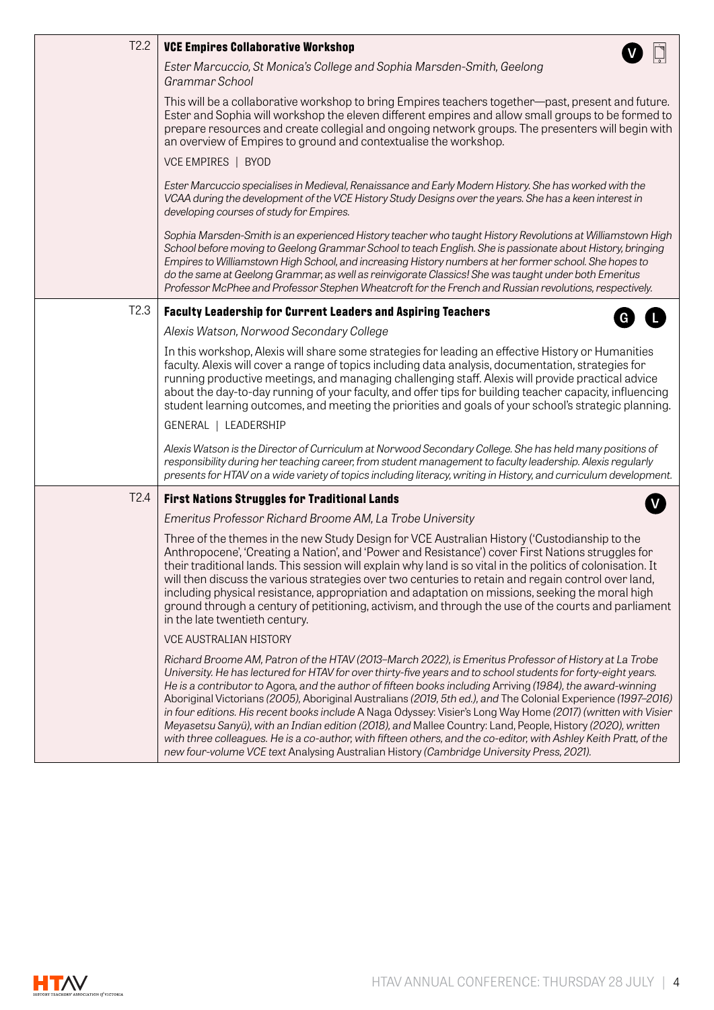| T2.2             | <b>VCE Empires Collaborative Workshop</b>                                                                                                                                                                                                                                                                                                                                                                                                                                                                                                                                                                                                                                                                                                                                                                                                                                                              |
|------------------|--------------------------------------------------------------------------------------------------------------------------------------------------------------------------------------------------------------------------------------------------------------------------------------------------------------------------------------------------------------------------------------------------------------------------------------------------------------------------------------------------------------------------------------------------------------------------------------------------------------------------------------------------------------------------------------------------------------------------------------------------------------------------------------------------------------------------------------------------------------------------------------------------------|
|                  | Ester Marcuccio, St Monica's College and Sophia Marsden-Smith, Geelong<br>Grammar School                                                                                                                                                                                                                                                                                                                                                                                                                                                                                                                                                                                                                                                                                                                                                                                                               |
|                  | This will be a collaborative workshop to bring Empires teachers together—past, present and future.<br>Ester and Sophia will workshop the eleven different empires and allow small groups to be formed to<br>prepare resources and create collegial and ongoing network groups. The presenters will begin with<br>an overview of Empires to ground and contextualise the workshop.                                                                                                                                                                                                                                                                                                                                                                                                                                                                                                                      |
|                  | VCE EMPIRES   BYOD                                                                                                                                                                                                                                                                                                                                                                                                                                                                                                                                                                                                                                                                                                                                                                                                                                                                                     |
|                  | Ester Marcuccio specialises in Medieval, Renaissance and Early Modern History. She has worked with the<br>VCAA during the development of the VCE History Study Designs over the years. She has a keen interest in<br>developing courses of study for Empires.                                                                                                                                                                                                                                                                                                                                                                                                                                                                                                                                                                                                                                          |
|                  | Sophia Marsden-Smith is an experienced History teacher who taught History Revolutions at Williamstown High<br>School before moving to Geelong Grammar School to teach English. She is passionate about History, bringing<br>Empires to Williamstown High School, and increasing History numbers at her former school. She hopes to<br>do the same at Geelong Grammar, as well as reinvigorate Classics! She was taught under both Emeritus<br>Professor McPhee and Professor Stephen Wheatcroft for the French and Russian revolutions, respectively.                                                                                                                                                                                                                                                                                                                                                  |
| T <sub>2.3</sub> | <b>Faculty Leadership for Current Leaders and Aspiring Teachers</b><br>G                                                                                                                                                                                                                                                                                                                                                                                                                                                                                                                                                                                                                                                                                                                                                                                                                               |
|                  | Alexis Watson, Norwood Secondary College                                                                                                                                                                                                                                                                                                                                                                                                                                                                                                                                                                                                                                                                                                                                                                                                                                                               |
|                  | In this workshop, Alexis will share some strategies for leading an effective History or Humanities<br>faculty. Alexis will cover a range of topics including data analysis, documentation, strategies for<br>running productive meetings, and managing challenging staff. Alexis will provide practical advice<br>about the day-to-day running of your faculty, and offer tips for building teacher capacity, influencing<br>student learning outcomes, and meeting the priorities and goals of your school's strategic planning.                                                                                                                                                                                                                                                                                                                                                                      |
|                  | GENERAL   LEADERSHIP                                                                                                                                                                                                                                                                                                                                                                                                                                                                                                                                                                                                                                                                                                                                                                                                                                                                                   |
|                  | Alexis Watson is the Director of Curriculum at Norwood Secondary College. She has held many positions of<br>responsibility during her teaching career, from student management to faculty leadership. Alexis regularly<br>presents for HTAV on a wide variety of topics including literacy, writing in History, and curriculum development.                                                                                                                                                                                                                                                                                                                                                                                                                                                                                                                                                            |
| T <sub>2.4</sub> | <b>First Nations Struggles for Traditional Lands</b>                                                                                                                                                                                                                                                                                                                                                                                                                                                                                                                                                                                                                                                                                                                                                                                                                                                   |
|                  | Emeritus Professor Richard Broome AM, La Trobe University                                                                                                                                                                                                                                                                                                                                                                                                                                                                                                                                                                                                                                                                                                                                                                                                                                              |
|                  | Three of the themes in the new Study Design for VCE Australian History ('Custodianship to the<br>Anthropocene', 'Creating a Nation', and 'Power and Resistance') cover First Nations struggles for<br>their traditional lands. This session will explain why land is so vital in the politics of colonisation. It<br>will then discuss the various strategies over two centuries to retain and regain control over land,<br>including physical resistance, appropriation and adaptation on missions, seeking the moral high<br>ground through a century of petitioning, activism, and through the use of the courts and parliament<br>in the late twentieth century.                                                                                                                                                                                                                                   |
|                  | VCE AUSTRALIAN HISTORY                                                                                                                                                                                                                                                                                                                                                                                                                                                                                                                                                                                                                                                                                                                                                                                                                                                                                 |
|                  | Richard Broome AM, Patron of the HTAV (2013-March 2022), is Emeritus Professor of History at La Trobe<br>University. He has lectured for HTAV for over thirty-five years and to school students for forty-eight years.<br>He is a contributor to Agora, and the author of fifteen books including Arriving (1984), the award-winning<br>Aboriginal Victorians (2005), Aboriginal Australians (2019, 5th ed.), and The Colonial Experience (1997-2016)<br>in four editions. His recent books include A Naga Odyssey: Visier's Long Way Home (2017) (written with Visier<br>Meyasetsu Sanyü), with an Indian edition (2018), and Mallee Country: Land, People, History (2020), written<br>with three colleagues. He is a co-author, with fifteen others, and the co-editor, with Ashley Keith Pratt, of the<br>new four-volume VCE text Analysing Australian History (Cambridge University Press, 2021). |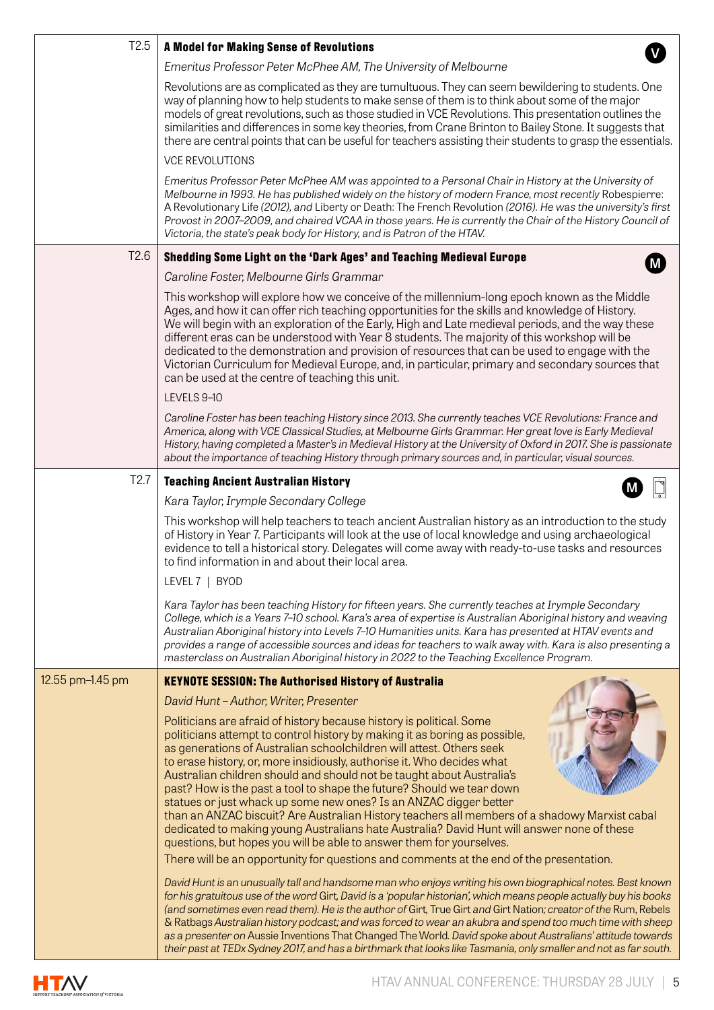| T <sub>2.5</sub> |                                                                                                                                                                                                                                                                                                                                                                                                                                                                                                                                                                                                                                                                                                                                                                                                    |
|------------------|----------------------------------------------------------------------------------------------------------------------------------------------------------------------------------------------------------------------------------------------------------------------------------------------------------------------------------------------------------------------------------------------------------------------------------------------------------------------------------------------------------------------------------------------------------------------------------------------------------------------------------------------------------------------------------------------------------------------------------------------------------------------------------------------------|
|                  | <b>A Model for Making Sense of Revolutions</b>                                                                                                                                                                                                                                                                                                                                                                                                                                                                                                                                                                                                                                                                                                                                                     |
|                  | Emeritus Professor Peter McPhee AM, The University of Melbourne                                                                                                                                                                                                                                                                                                                                                                                                                                                                                                                                                                                                                                                                                                                                    |
|                  | Revolutions are as complicated as they are tumultuous. They can seem bewildering to students. One<br>way of planning how to help students to make sense of them is to think about some of the major<br>models of great revolutions, such as those studied in VCE Revolutions. This presentation outlines the<br>similarities and differences in some key theories, from Crane Brinton to Bailey Stone. It suggests that<br>there are central points that can be useful for teachers assisting their students to grasp the essentials.                                                                                                                                                                                                                                                              |
|                  | <b>VCE REVOLUTIONS</b>                                                                                                                                                                                                                                                                                                                                                                                                                                                                                                                                                                                                                                                                                                                                                                             |
|                  | Emeritus Professor Peter McPhee AM was appointed to a Personal Chair in History at the University of<br>Melbourne in 1993. He has published widely on the history of modern France, most recently Robespierre:<br>A Revolutionary Life (2012), and Liberty or Death: The French Revolution (2016). He was the university's first<br>Provost in 2007-2009, and chaired VCAA in those years. He is currently the Chair of the History Council of<br>Victoria, the state's peak body for History, and is Patron of the HTAV.                                                                                                                                                                                                                                                                          |
| T <sub>2.6</sub> | Shedding Some Light on the 'Dark Ages' and Teaching Medieval Europe                                                                                                                                                                                                                                                                                                                                                                                                                                                                                                                                                                                                                                                                                                                                |
|                  | Caroline Foster, Melbourne Girls Grammar                                                                                                                                                                                                                                                                                                                                                                                                                                                                                                                                                                                                                                                                                                                                                           |
|                  | This workshop will explore how we conceive of the millennium-long epoch known as the Middle<br>Ages, and how it can offer rich teaching opportunities for the skills and knowledge of History.<br>We will begin with an exploration of the Early, High and Late medieval periods, and the way these<br>different eras can be understood with Year 8 students. The majority of this workshop will be<br>dedicated to the demonstration and provision of resources that can be used to engage with the<br>Victorian Curriculum for Medieval Europe, and, in particular, primary and secondary sources that<br>can be used at the centre of teaching this unit.                                                                                                                                       |
|                  | LEVELS 9-10                                                                                                                                                                                                                                                                                                                                                                                                                                                                                                                                                                                                                                                                                                                                                                                        |
|                  | Caroline Foster has been teaching History since 2013. She currently teaches VCE Revolutions: France and<br>America, along with VCE Classical Studies, at Melbourne Girls Grammar. Her great love is Early Medieval<br>History, having completed a Master's in Medieval History at the University of Oxford in 2017. She is passionate<br>about the importance of teaching History through primary sources and, in particular, visual sources.                                                                                                                                                                                                                                                                                                                                                      |
| T <sub>2.7</sub> | <b>Teaching Ancient Australian History</b>                                                                                                                                                                                                                                                                                                                                                                                                                                                                                                                                                                                                                                                                                                                                                         |
|                  | Kara Taylor, Irymple Secondary College                                                                                                                                                                                                                                                                                                                                                                                                                                                                                                                                                                                                                                                                                                                                                             |
|                  | This workshop will help teachers to teach ancient Australian history as an introduction to the study<br>of History in Year 7. Participants will look at the use of local knowledge and using archaeological<br>evidence to tell a historical story. Delegates will come away with ready-to-use tasks and resources<br>to find information in and about their local area.<br>LEVEL 7   BYOD                                                                                                                                                                                                                                                                                                                                                                                                         |
|                  | Kara Taylor has been teaching History for fifteen years. She currently teaches at Irymple Secondary<br>College, which is a Years 7-10 school. Kara's area of expertise is Australian Aboriginal history and weaving<br>Australian Aboriginal history into Levels 7-10 Humanities units. Kara has presented at HTAV events and<br>provides a range of accessible sources and ideas for teachers to walk away with. Kara is also presenting a<br>masterclass on Australian Aboriginal history in 2022 to the Teaching Excellence Program.                                                                                                                                                                                                                                                            |
| 12.55 pm-1.45 pm | <b>KEYNOTE SESSION: The Authorised History of Australia</b>                                                                                                                                                                                                                                                                                                                                                                                                                                                                                                                                                                                                                                                                                                                                        |
|                  | David Hunt-Author, Writer, Presenter                                                                                                                                                                                                                                                                                                                                                                                                                                                                                                                                                                                                                                                                                                                                                               |
|                  | Politicians are afraid of history because history is political. Some<br>politicians attempt to control history by making it as boring as possible,<br>as generations of Australian schoolchildren will attest. Others seek<br>to erase history, or, more insidiously, authorise it. Who decides what<br>Australian children should and should not be taught about Australia's<br>past? How is the past a tool to shape the future? Should we tear down<br>statues or just whack up some new ones? Is an ANZAC digger better<br>than an ANZAC biscuit? Are Australian History teachers all members of a shadowy Marxist cabal<br>dedicated to making young Australians hate Australia? David Hunt will answer none of these<br>questions, but hopes you will be able to answer them for yourselves. |
|                  | There will be an opportunity for questions and comments at the end of the presentation.                                                                                                                                                                                                                                                                                                                                                                                                                                                                                                                                                                                                                                                                                                            |
|                  | David Hunt is an unusually tall and handsome man who enjoys writing his own biographical notes. Best known<br>for his gratuitous use of the word Girt, David is a 'popular historian', which means people actually buy his books<br>(and sometimes even read them). He is the author of Girt, True Girt and Girt Nation; creator of the Rum, Rebels<br>& Ratbags Australian history podcast; and was forced to wear an akubra and spend too much time with sheep<br>as a presenter on Aussie Inventions That Changed The World. David spoke about Australians' attitude towards<br>their past at TEDx Sydney 2017, and has a birthmark that looks like Tasmania, only smaller and not as far south.                                                                                                |

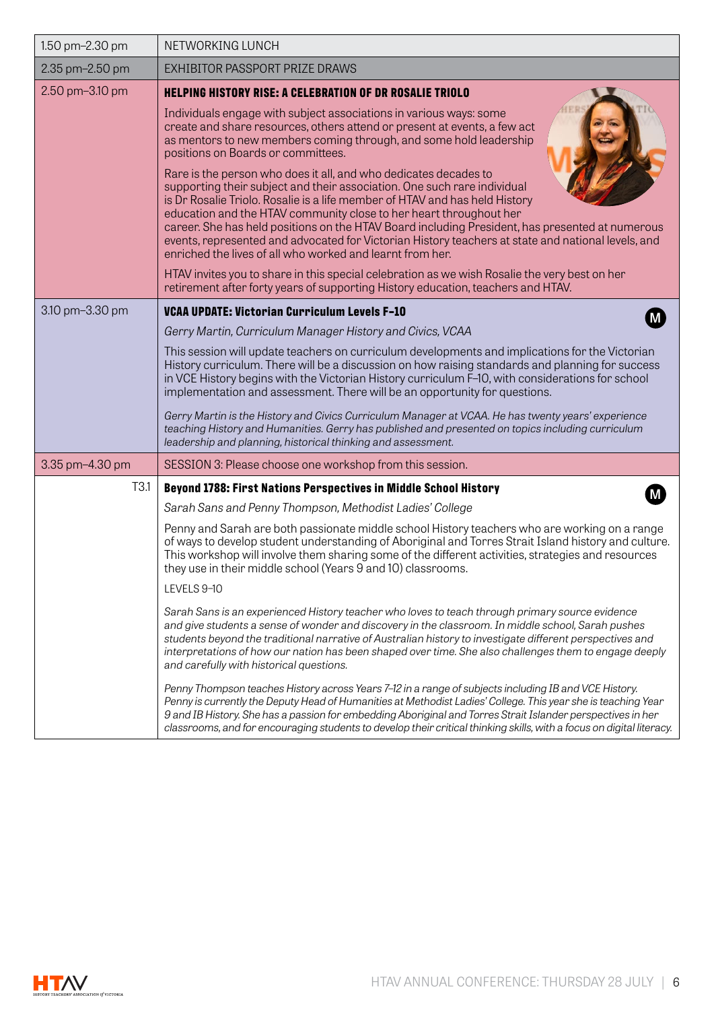| 1.50 pm-2.30 pm  | NETWORKING LUNCH                                                                                                                                                                                                                                                                                                                                                                                                                                                                                                                                                                                                                                                                                                                                                                                                                                                                                                                                                                                                                                                                                                                                                                                                                                                                                                                                |
|------------------|-------------------------------------------------------------------------------------------------------------------------------------------------------------------------------------------------------------------------------------------------------------------------------------------------------------------------------------------------------------------------------------------------------------------------------------------------------------------------------------------------------------------------------------------------------------------------------------------------------------------------------------------------------------------------------------------------------------------------------------------------------------------------------------------------------------------------------------------------------------------------------------------------------------------------------------------------------------------------------------------------------------------------------------------------------------------------------------------------------------------------------------------------------------------------------------------------------------------------------------------------------------------------------------------------------------------------------------------------|
| 2.35 pm-2.50 pm  | EXHIBITOR PASSPORT PRIZE DRAWS                                                                                                                                                                                                                                                                                                                                                                                                                                                                                                                                                                                                                                                                                                                                                                                                                                                                                                                                                                                                                                                                                                                                                                                                                                                                                                                  |
| 2.50 pm-3.10 pm  | <b>HELPING HISTORY RISE: A CELEBRATION OF DR ROSALIE TRIOLO</b><br>Individuals engage with subject associations in various ways: some<br>create and share resources, others attend or present at events, a few act<br>as mentors to new members coming through, and some hold leadership<br>positions on Boards or committees.<br>Rare is the person who does it all, and who dedicates decades to<br>supporting their subject and their association. One such rare individual<br>is Dr Rosalie Triolo. Rosalie is a life member of HTAV and has held History<br>education and the HTAV community close to her heart throughout her<br>career. She has held positions on the HTAV Board including President, has presented at numerous<br>events, represented and advocated for Victorian History teachers at state and national levels, and<br>enriched the lives of all who worked and learnt from her.<br>HTAV invites you to share in this special celebration as we wish Rosalie the very best on her<br>retirement after forty years of supporting History education, teachers and HTAV.                                                                                                                                                                                                                                                  |
| 3.10 pm-3.30 pm  | VCAA UPDATE: Victorian Curriculum Levels F-10<br>Gerry Martin, Curriculum Manager History and Civics, VCAA<br>This session will update teachers on curriculum developments and implications for the Victorian<br>History curriculum. There will be a discussion on how raising standards and planning for success<br>in VCE History begins with the Victorian History curriculum F-10, with considerations for school<br>implementation and assessment. There will be an opportunity for questions.<br>Gerry Martin is the History and Civics Curriculum Manager at VCAA. He has twenty years' experience<br>teaching History and Humanities. Gerry has published and presented on topics including curriculum<br>leadership and planning, historical thinking and assessment.                                                                                                                                                                                                                                                                                                                                                                                                                                                                                                                                                                  |
| 3.35 pm-4.30 pm  | SESSION 3: Please choose one workshop from this session.                                                                                                                                                                                                                                                                                                                                                                                                                                                                                                                                                                                                                                                                                                                                                                                                                                                                                                                                                                                                                                                                                                                                                                                                                                                                                        |
| T <sub>3.1</sub> | Beyond 1788: First Nations Perspectives in Middle School History<br>Sarah Sans and Penny Thompson, Methodist Ladies' College<br>Penny and Sarah are both passionate middle school History teachers who are working on a range<br>of ways to develop student understanding of Aboriginal and Torres Strait Island history and culture.<br>This workshop will involve them sharing some of the different activities, strategies and resources<br>they use in their middle school (Years 9 and 10) classrooms.<br>LEVELS 9-10<br>Sarah Sans is an experienced History teacher who loves to teach through primary source evidence<br>and give students a sense of wonder and discovery in the classroom. In middle school, Sarah pushes<br>students beyond the traditional narrative of Australian history to investigate different perspectives and<br>interpretations of how our nation has been shaped over time. She also challenges them to engage deeply<br>and carefully with historical questions.<br>Penny Thompson teaches History across Years 7-12 in a range of subjects including IB and VCE History.<br>Penny is currently the Deputy Head of Humanities at Methodist Ladies' College. This year she is teaching Year<br>9 and IB History. She has a passion for embedding Aboriginal and Torres Strait Islander perspectives in her |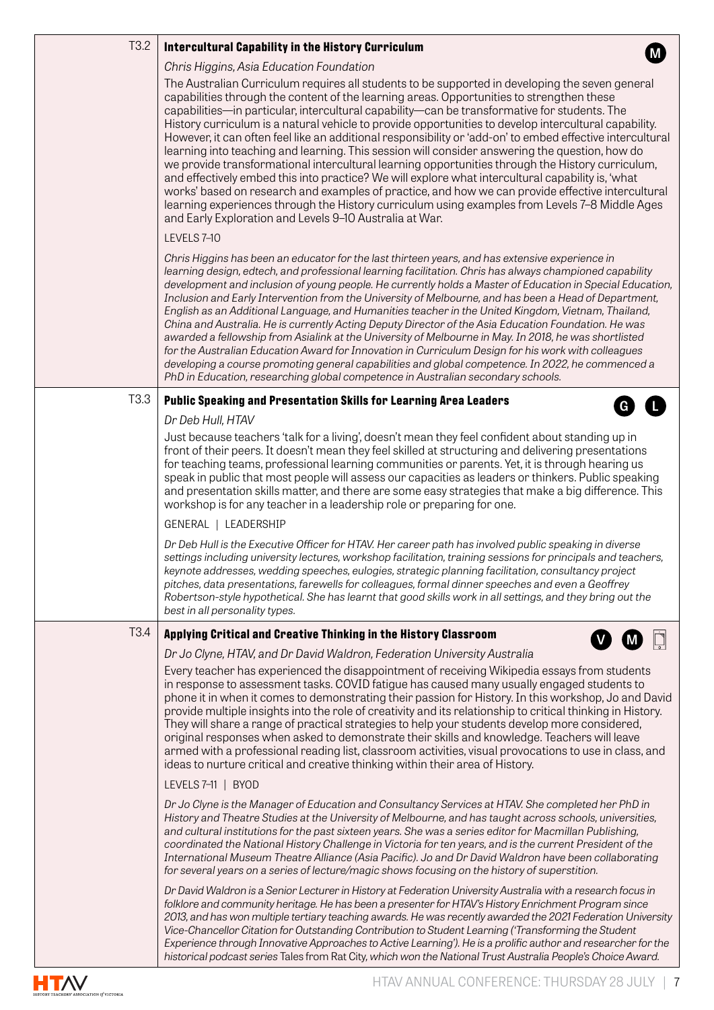| T <sub>3.2</sub> | <b>Intercultural Capability in the History Curriculum</b>                                                                                                                                                                                                                                                                                                                                                                                                                                                                                                                                                                                                                                                                                                                                                                                                                                                                                                                                                                                                                                       |
|------------------|-------------------------------------------------------------------------------------------------------------------------------------------------------------------------------------------------------------------------------------------------------------------------------------------------------------------------------------------------------------------------------------------------------------------------------------------------------------------------------------------------------------------------------------------------------------------------------------------------------------------------------------------------------------------------------------------------------------------------------------------------------------------------------------------------------------------------------------------------------------------------------------------------------------------------------------------------------------------------------------------------------------------------------------------------------------------------------------------------|
|                  | Chris Higgins, Asia Education Foundation                                                                                                                                                                                                                                                                                                                                                                                                                                                                                                                                                                                                                                                                                                                                                                                                                                                                                                                                                                                                                                                        |
|                  | The Australian Curriculum requires all students to be supported in developing the seven general<br>capabilities through the content of the learning areas. Opportunities to strengthen these<br>capabilities—in particular, intercultural capability—can be transformative for students. The<br>History curriculum is a natural vehicle to provide opportunities to develop intercultural capability.<br>However, it can often feel like an additional responsibility or 'add-on' to embed effective intercultural<br>learning into teaching and learning. This session will consider answering the question, how do<br>we provide transformational intercultural learning opportunities through the History curriculum,<br>and effectively embed this into practice? We will explore what intercultural capability is, 'what<br>works' based on research and examples of practice, and how we can provide effective intercultural<br>learning experiences through the History curriculum using examples from Levels 7-8 Middle Ages<br>and Early Exploration and Levels 9-10 Australia at War. |
|                  | LEVELS 7-10                                                                                                                                                                                                                                                                                                                                                                                                                                                                                                                                                                                                                                                                                                                                                                                                                                                                                                                                                                                                                                                                                     |
|                  | Chris Higgins has been an educator for the last thirteen years, and has extensive experience in<br>learning design, edtech, and professional learning facilitation. Chris has always championed capability<br>development and inclusion of young people. He currently holds a Master of Education in Special Education,<br>Inclusion and Early Intervention from the University of Melbourne, and has been a Head of Department,<br>English as an Additional Language, and Humanities teacher in the United Kingdom, Vietnam, Thailand,<br>China and Australia. He is currently Acting Deputy Director of the Asia Education Foundation. He was<br>awarded a fellowship from Asialink at the University of Melbourne in May. In 2018, he was shortlisted<br>for the Australian Education Award for Innovation in Curriculum Design for his work with colleagues<br>developing a course promoting general capabilities and global competence. In 2022, he commenced a<br>PhD in Education, researching global competence in Australian secondary schools.                                        |
| T <sub>3.3</sub> | <b>Public Speaking and Presentation Skills for Learning Area Leaders</b><br>$\mathbf{\Theta}$                                                                                                                                                                                                                                                                                                                                                                                                                                                                                                                                                                                                                                                                                                                                                                                                                                                                                                                                                                                                   |
|                  | Dr Deb Hull, HTAV                                                                                                                                                                                                                                                                                                                                                                                                                                                                                                                                                                                                                                                                                                                                                                                                                                                                                                                                                                                                                                                                               |
|                  | Just because teachers 'talk for a living', doesn't mean they feel confident about standing up in<br>front of their peers. It doesn't mean they feel skilled at structuring and delivering presentations<br>for teaching teams, professional learning communities or parents. Yet, it is through hearing us<br>speak in public that most people will assess our capacities as leaders or thinkers. Public speaking<br>and presentation skills matter, and there are some easy strategies that make a big difference. This<br>workshop is for any teacher in a leadership role or preparing for one.                                                                                                                                                                                                                                                                                                                                                                                                                                                                                              |
|                  | GENERAL   LEADERSHIP                                                                                                                                                                                                                                                                                                                                                                                                                                                                                                                                                                                                                                                                                                                                                                                                                                                                                                                                                                                                                                                                            |
|                  | Dr Deb Hull is the Executive Officer for HTAV. Her career path has involved public speaking in diverse<br>settings including university lectures, workshop facilitation, training sessions for principals and teachers,<br>keynote addresses, wedding speeches, eulogies, strategic planning facilitation, consultancy project<br>pitches, data presentations, farewells for colleagues, formal dinner speeches and even a Geoffrey<br>Robertson-style hypothetical. She has learnt that good skills work in all settings, and they bring out the<br>best in all personality types.                                                                                                                                                                                                                                                                                                                                                                                                                                                                                                             |
| T <sub>3.4</sub> | Applying Critical and Creative Thinking in the History Classroom                                                                                                                                                                                                                                                                                                                                                                                                                                                                                                                                                                                                                                                                                                                                                                                                                                                                                                                                                                                                                                |
|                  | Dr Jo Clyne, HTAV, and Dr David Waldron, Federation University Australia                                                                                                                                                                                                                                                                                                                                                                                                                                                                                                                                                                                                                                                                                                                                                                                                                                                                                                                                                                                                                        |
|                  | Every teacher has experienced the disappointment of receiving Wikipedia essays from students<br>in response to assessment tasks. COVID fatigue has caused many usually engaged students to<br>phone it in when it comes to demonstrating their passion for History. In this workshop, Jo and David<br>provide multiple insights into the role of creativity and its relationship to critical thinking in History.<br>They will share a range of practical strategies to help your students develop more considered,<br>original responses when asked to demonstrate their skills and knowledge. Teachers will leave<br>armed with a professional reading list, classroom activities, visual provocations to use in class, and<br>ideas to nurture critical and creative thinking within their area of History.                                                                                                                                                                                                                                                                                  |
|                  | LEVELS 7-11   BYOD                                                                                                                                                                                                                                                                                                                                                                                                                                                                                                                                                                                                                                                                                                                                                                                                                                                                                                                                                                                                                                                                              |
|                  | Dr Jo Clyne is the Manager of Education and Consultancy Services at HTAV. She completed her PhD in<br>History and Theatre Studies at the University of Melbourne, and has taught across schools, universities,<br>and cultural institutions for the past sixteen years. She was a series editor for Macmillan Publishing,<br>coordinated the National History Challenge in Victoria for ten years, and is the current President of the<br>International Museum Theatre Alliance (Asia Pacific). Jo and Dr David Waldron have been collaborating<br>for several years on a series of lecture/magic shows focusing on the history of superstition.                                                                                                                                                                                                                                                                                                                                                                                                                                                |
|                  | Dr David Waldron is a Senior Lecturer in History at Federation University Australia with a research focus in<br>folklore and community heritage. He has been a presenter for HTAV's History Enrichment Program since<br>2013, and has won multiple tertiary teaching awards. He was recently awarded the 2021 Federation University<br>Vice-Chancellor Citation for Outstanding Contribution to Student Learning ('Transforming the Student<br>Experience through Innovative Approaches to Active Learning'). He is a prolific author and researcher for the<br>historical podcast series Tales from Rat City, which won the National Trust Australia People's Choice Award.                                                                                                                                                                                                                                                                                                                                                                                                                    |